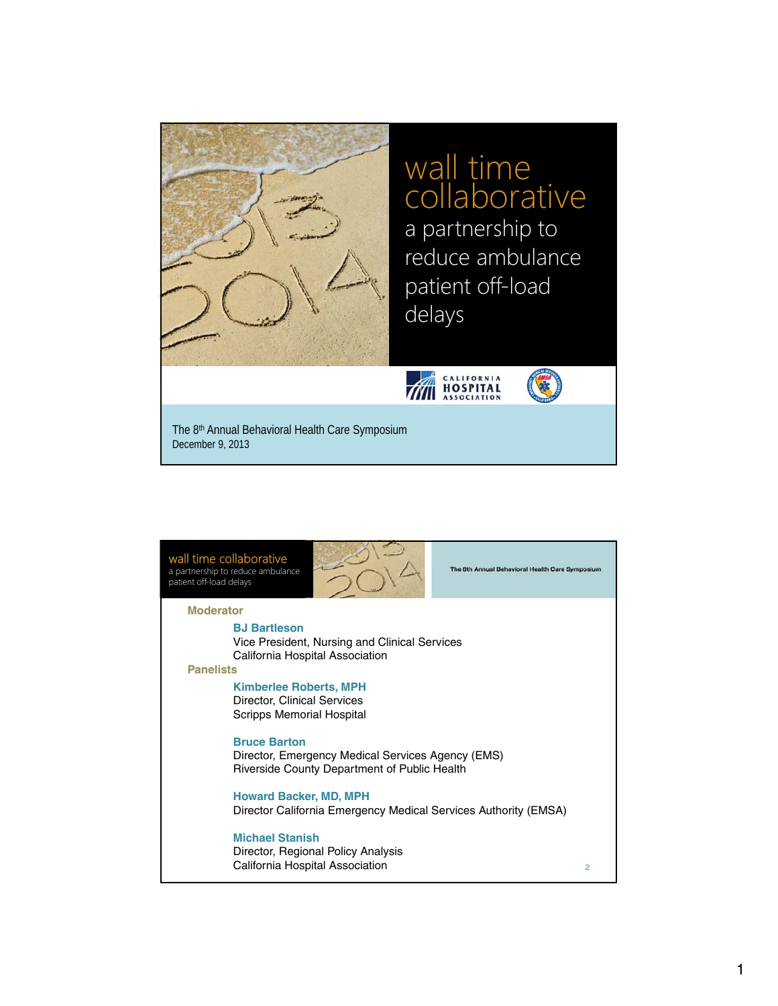

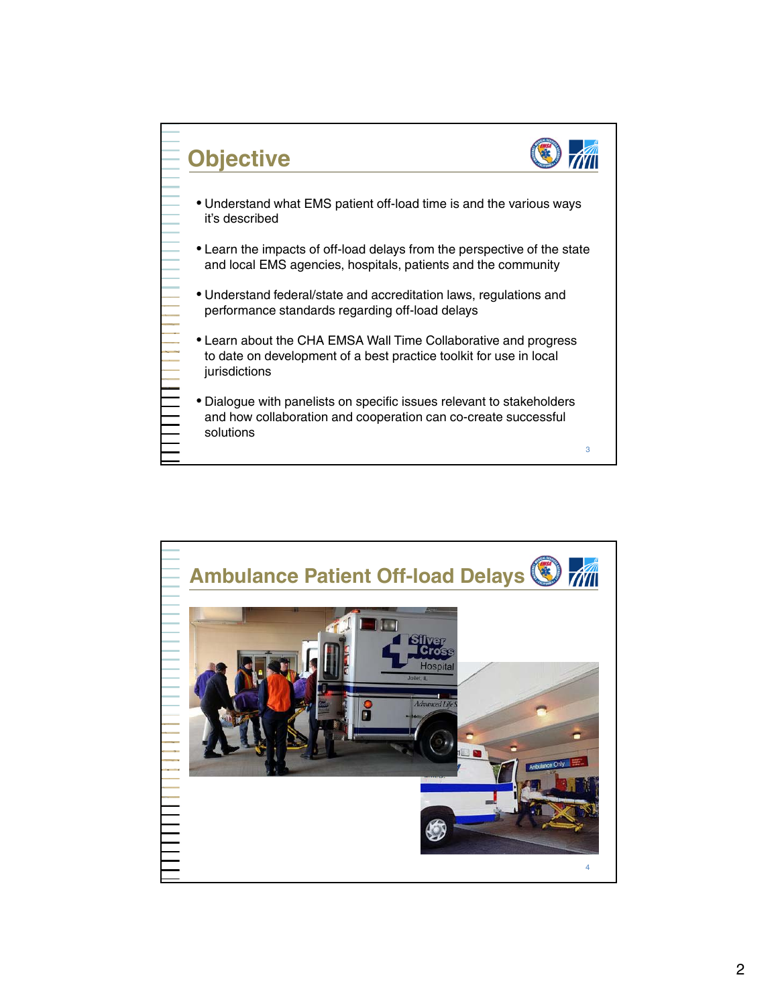

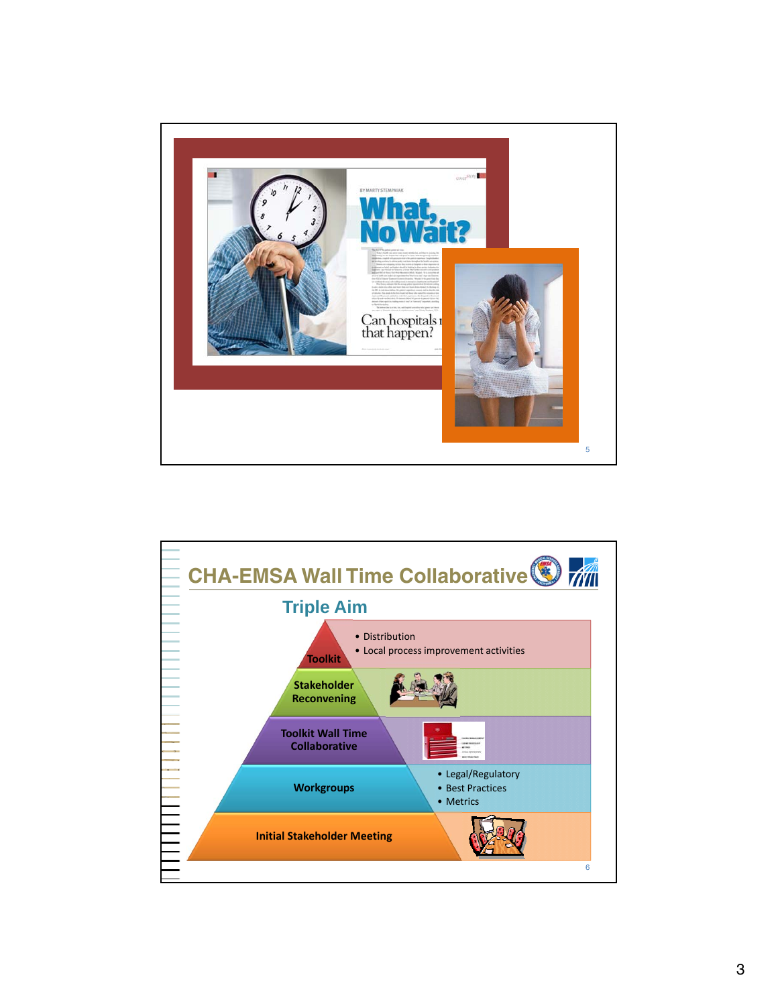

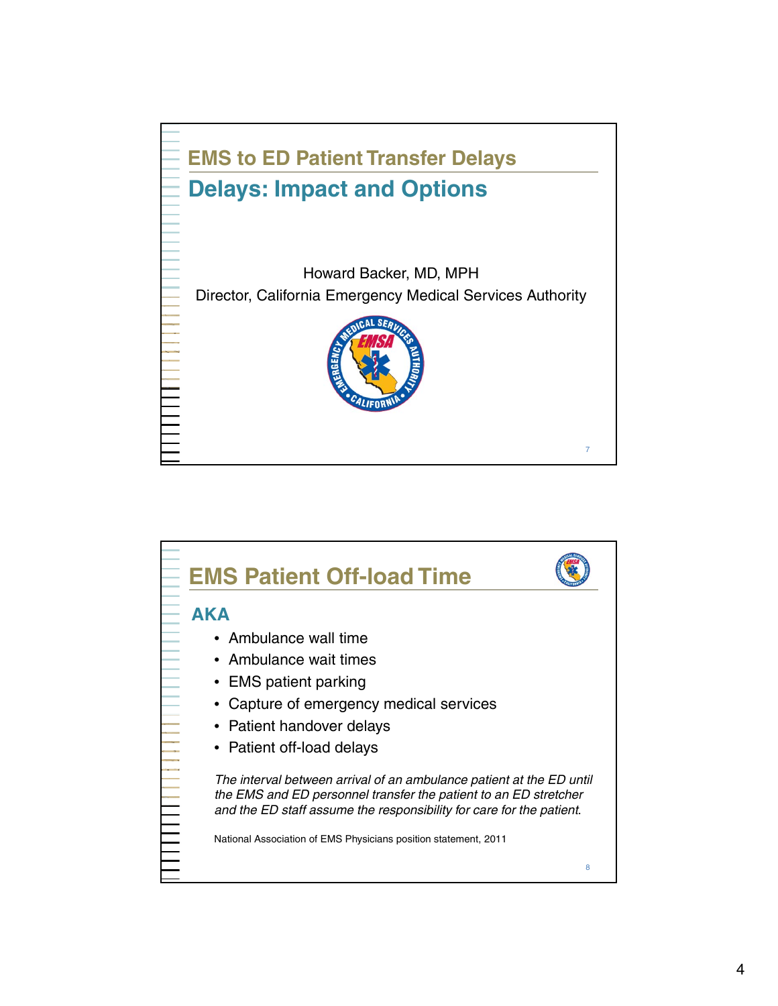

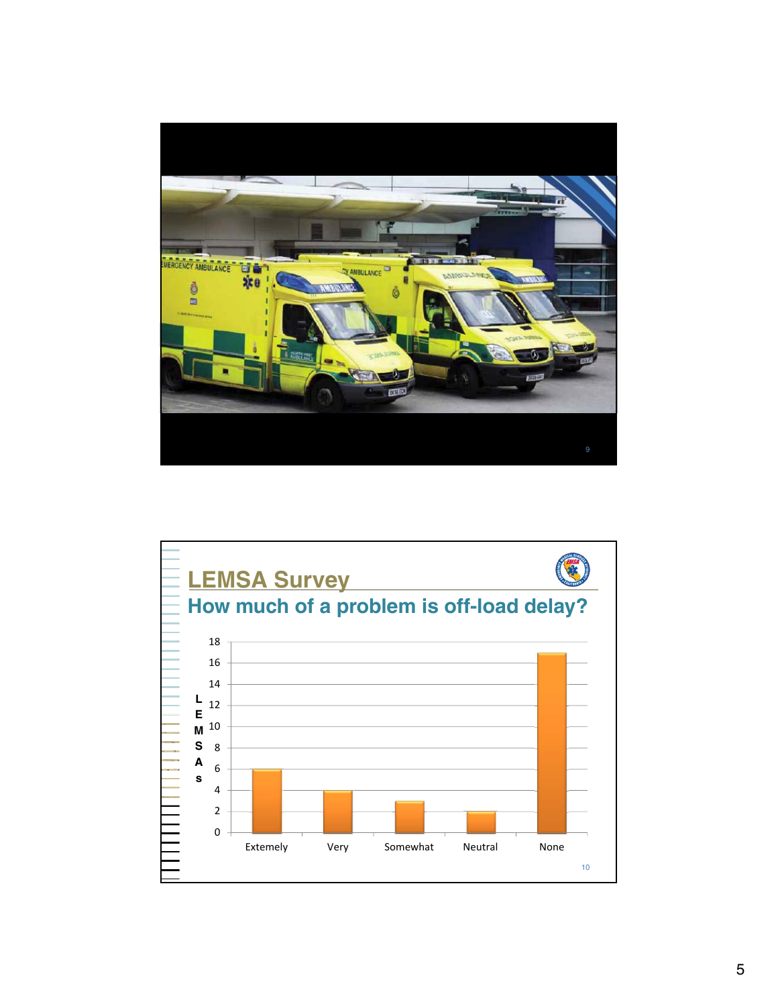

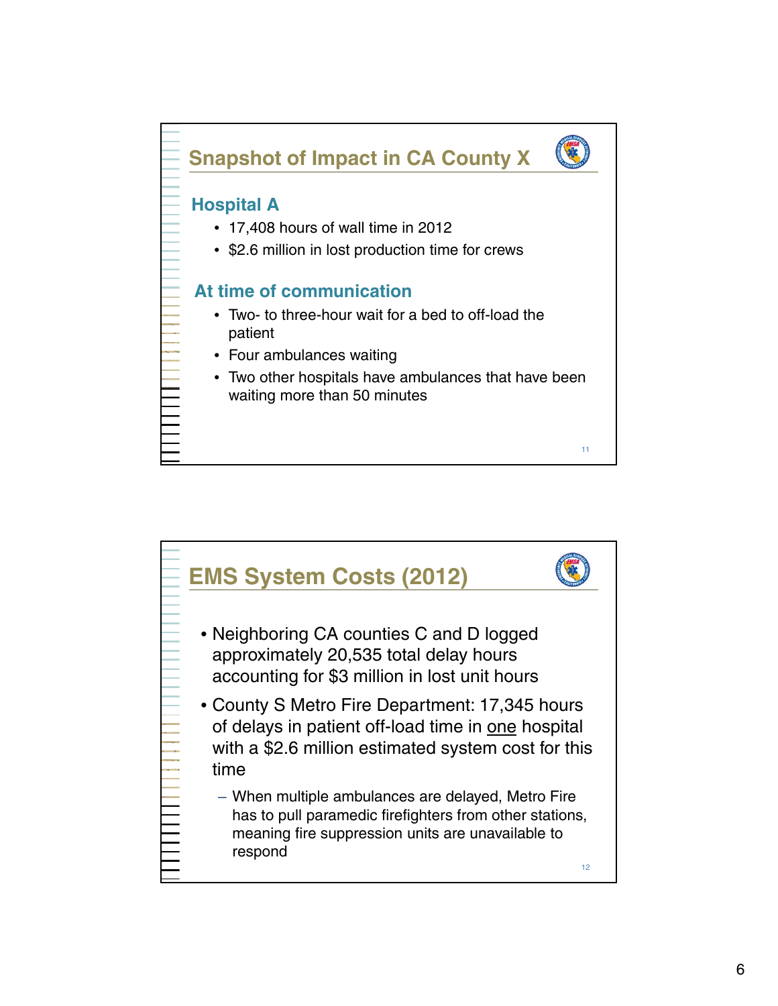

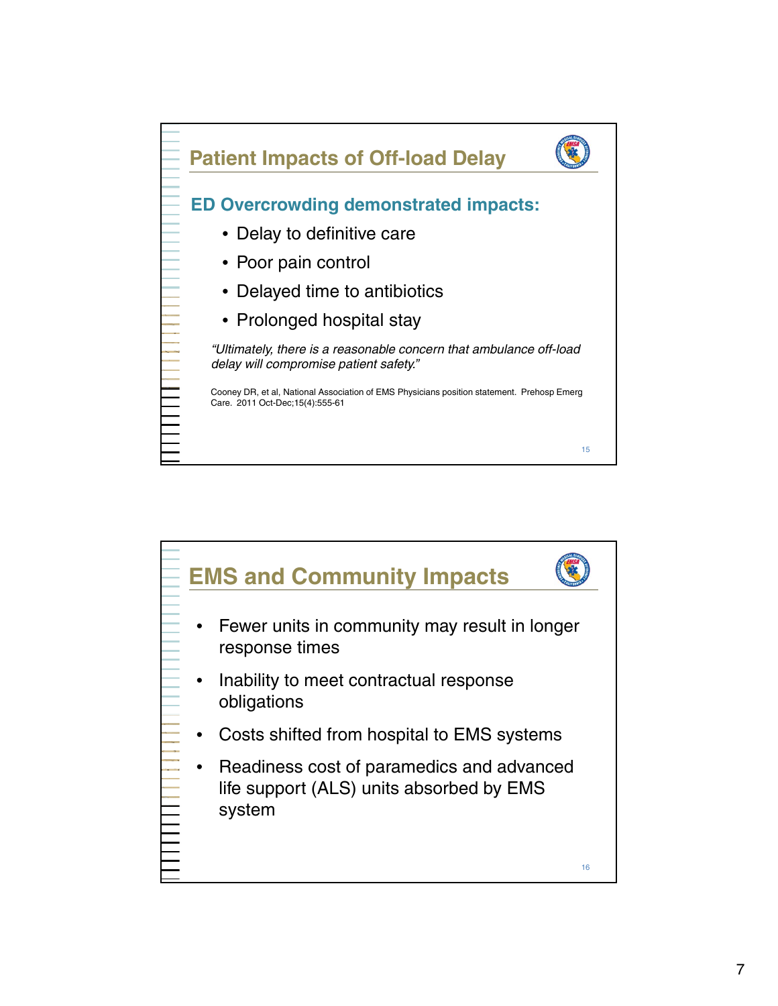

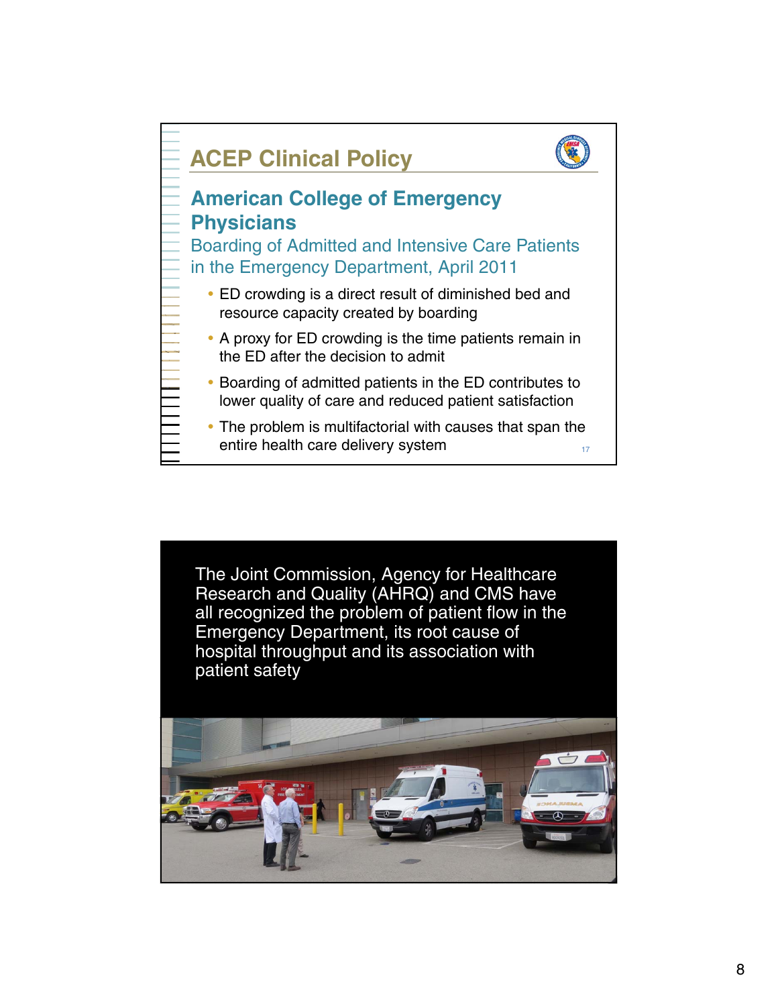

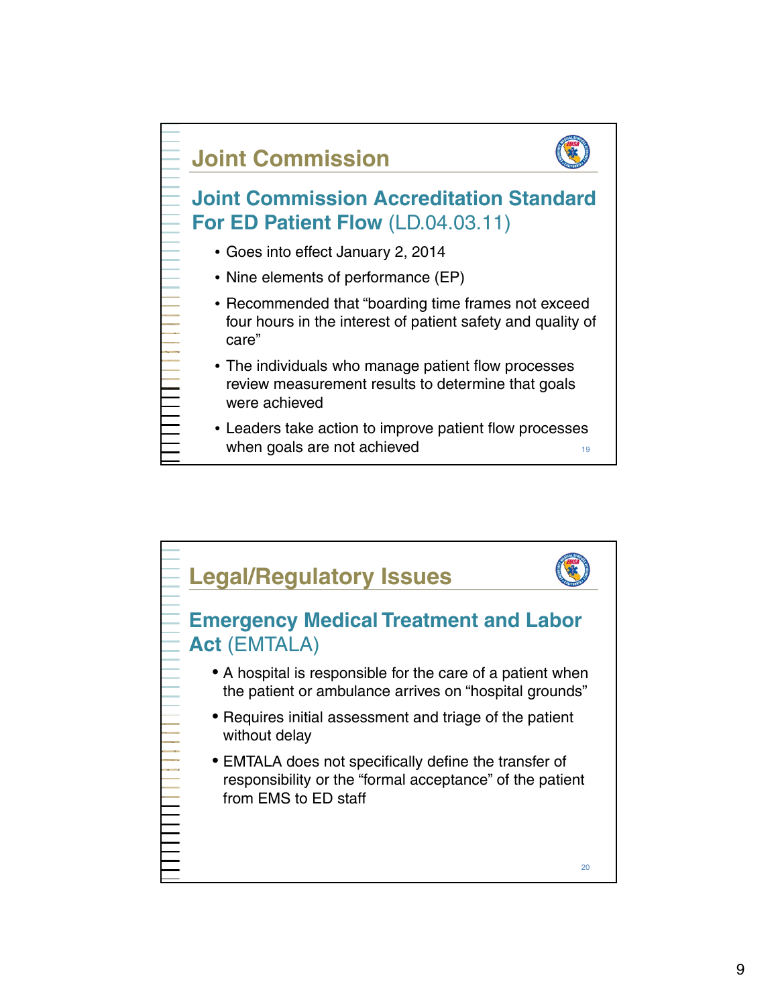

- care"
- The individuals who manage patient flow processes review measurement results to determine that goals were achieved
- Leaders take action to improve patient flow processes when goals are not achieved  $19$

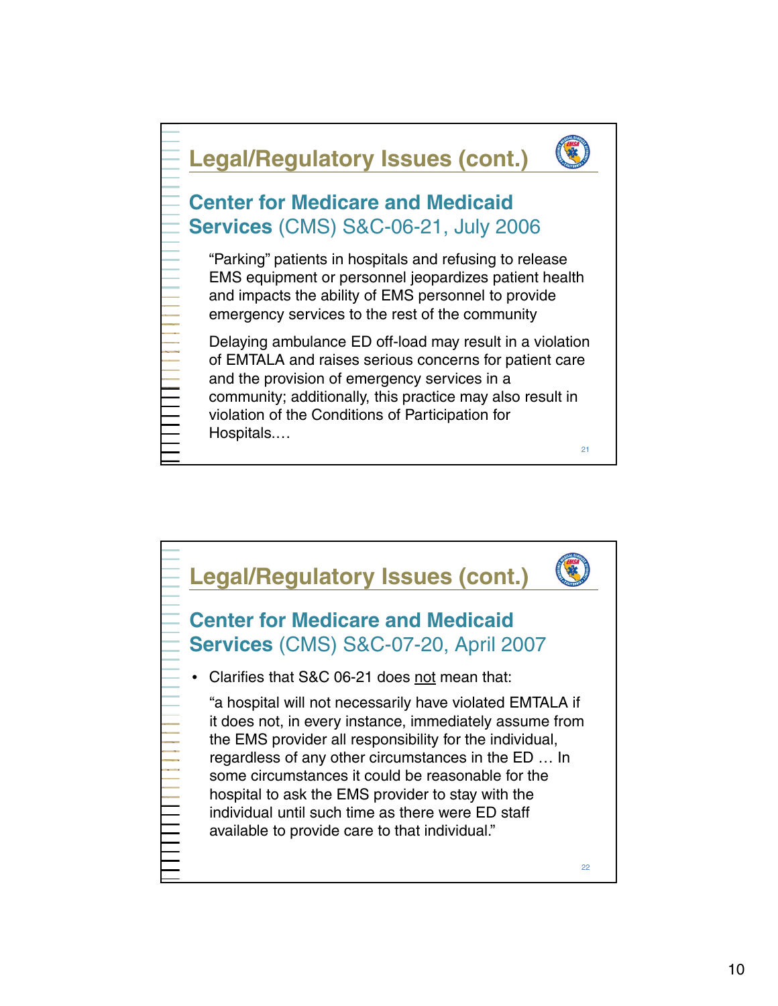

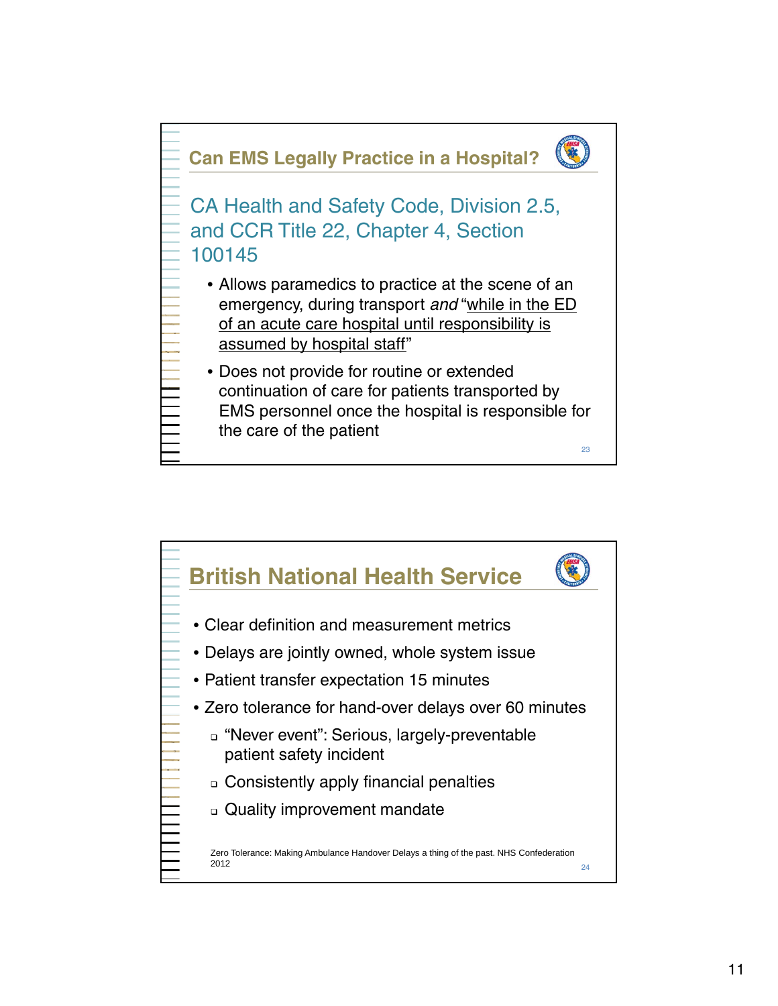

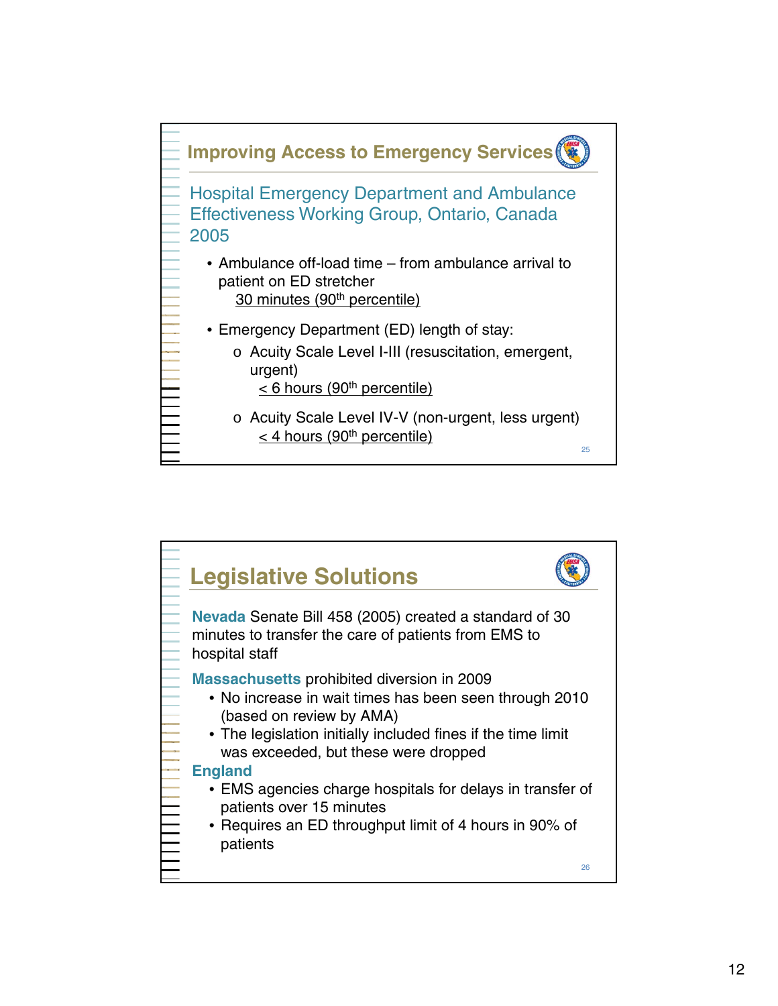

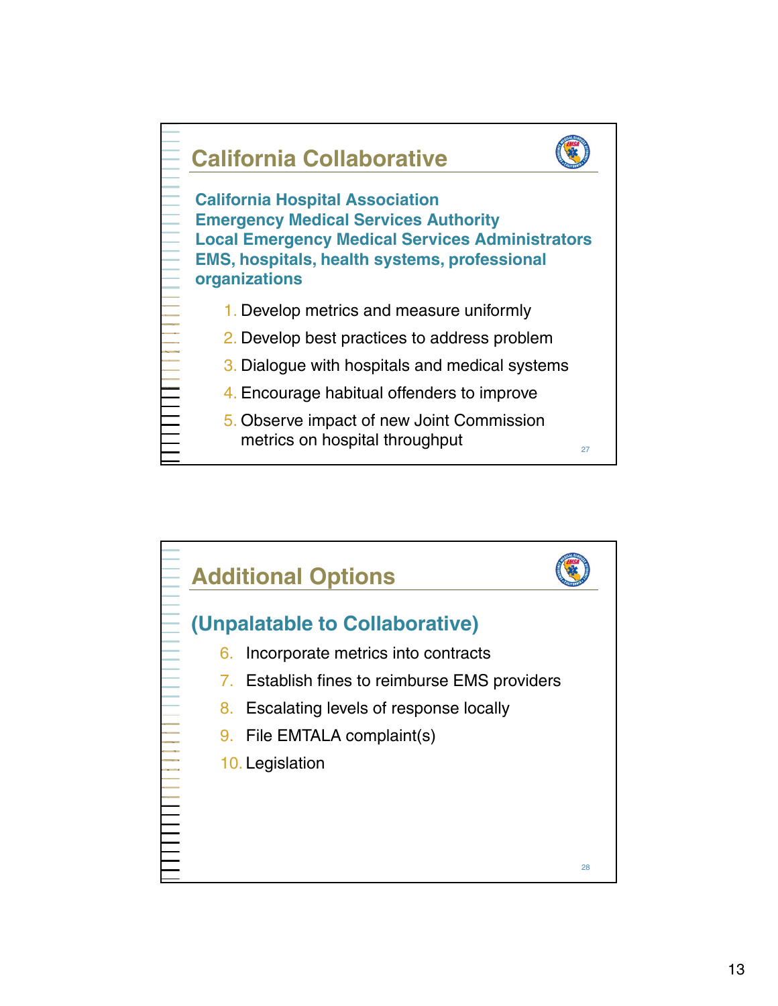

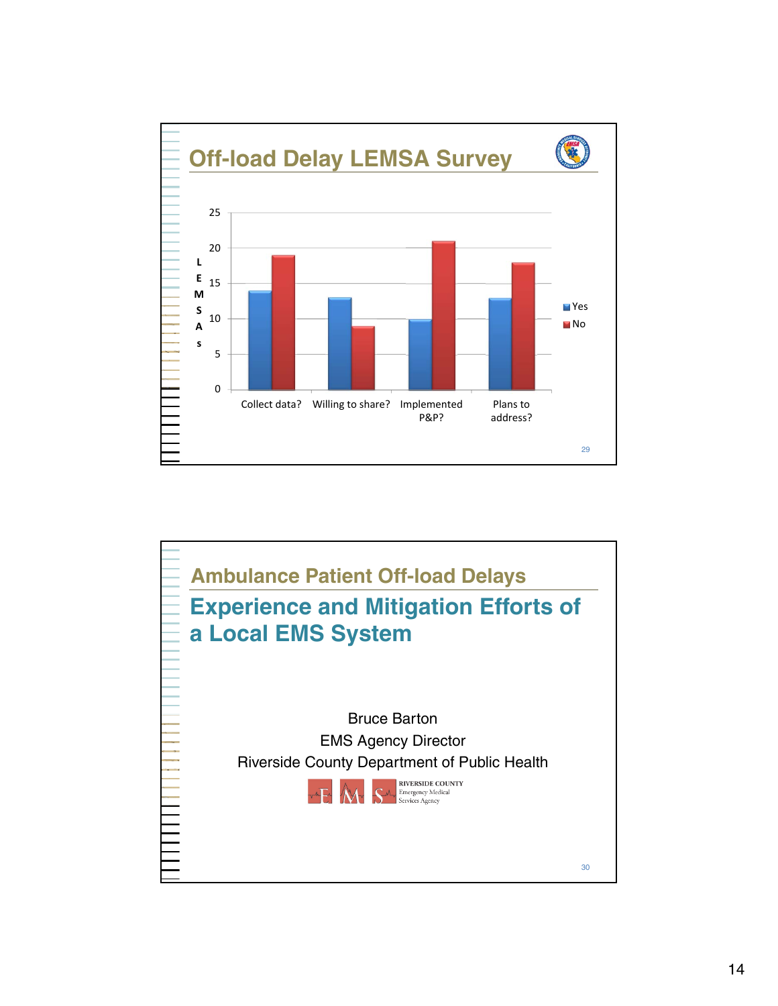

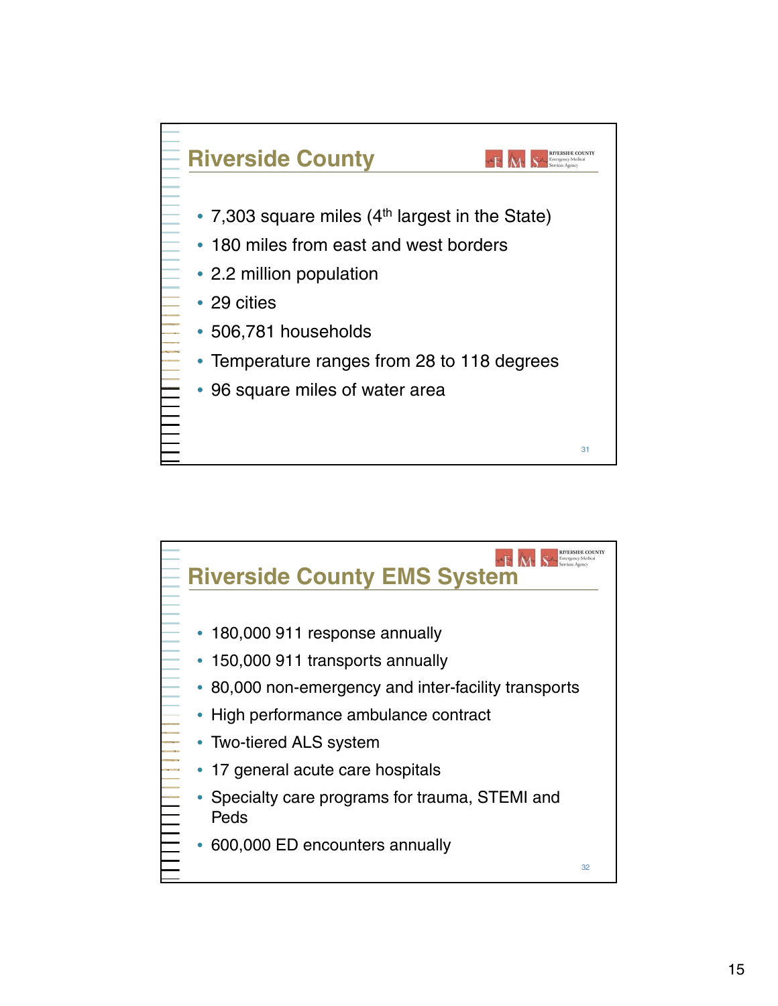

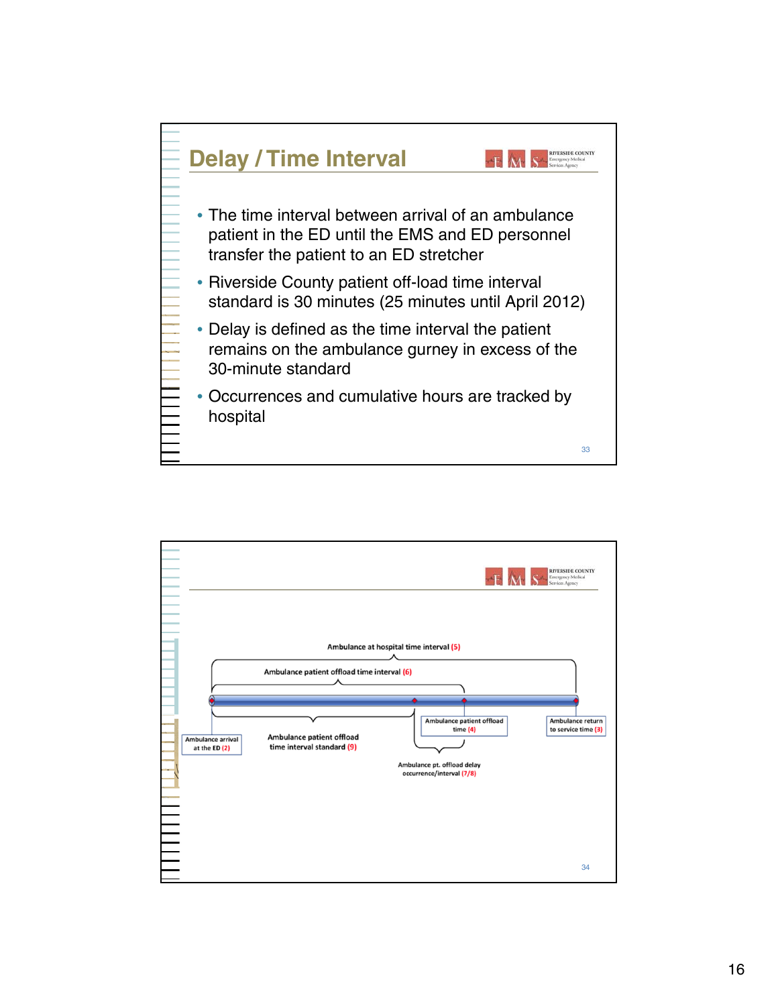

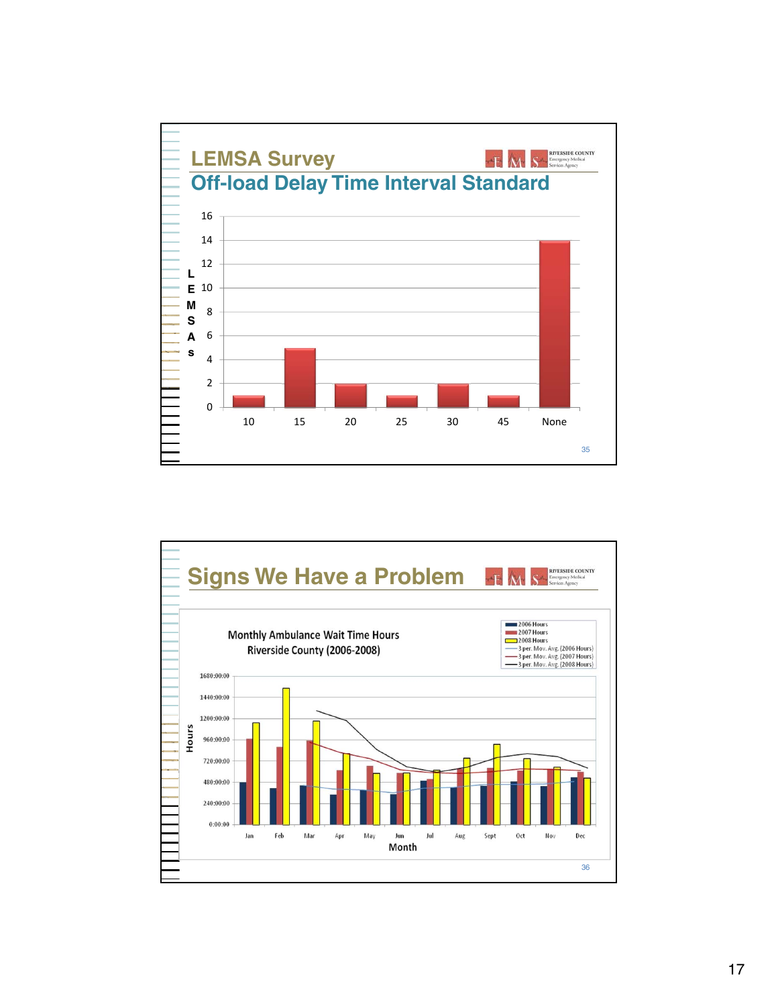

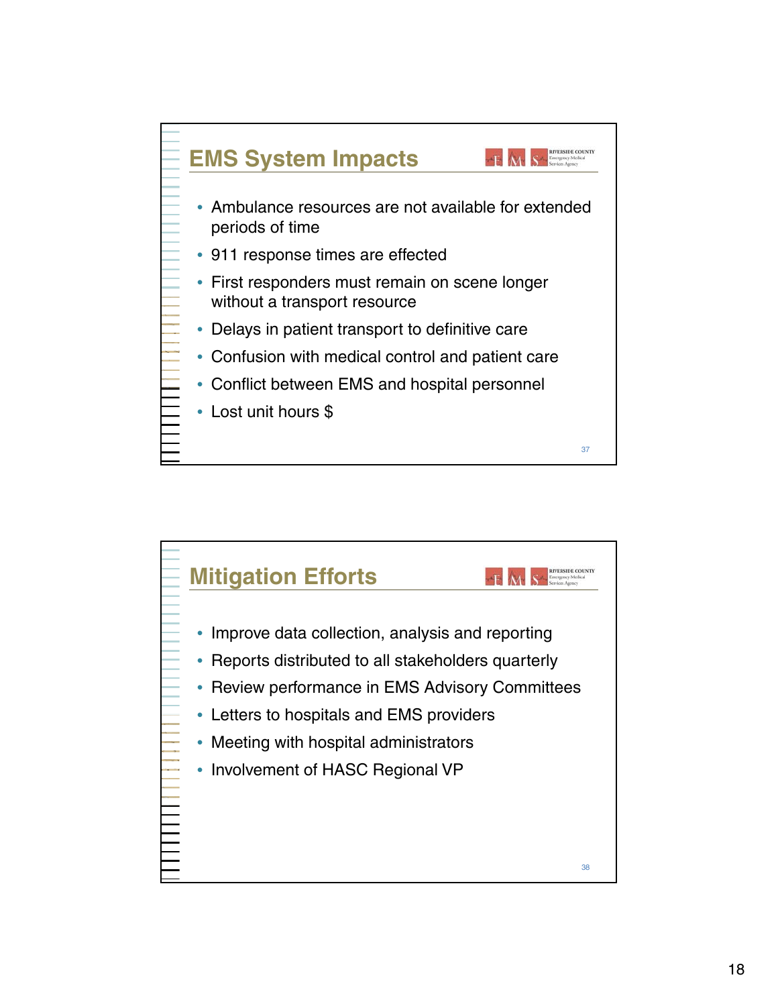

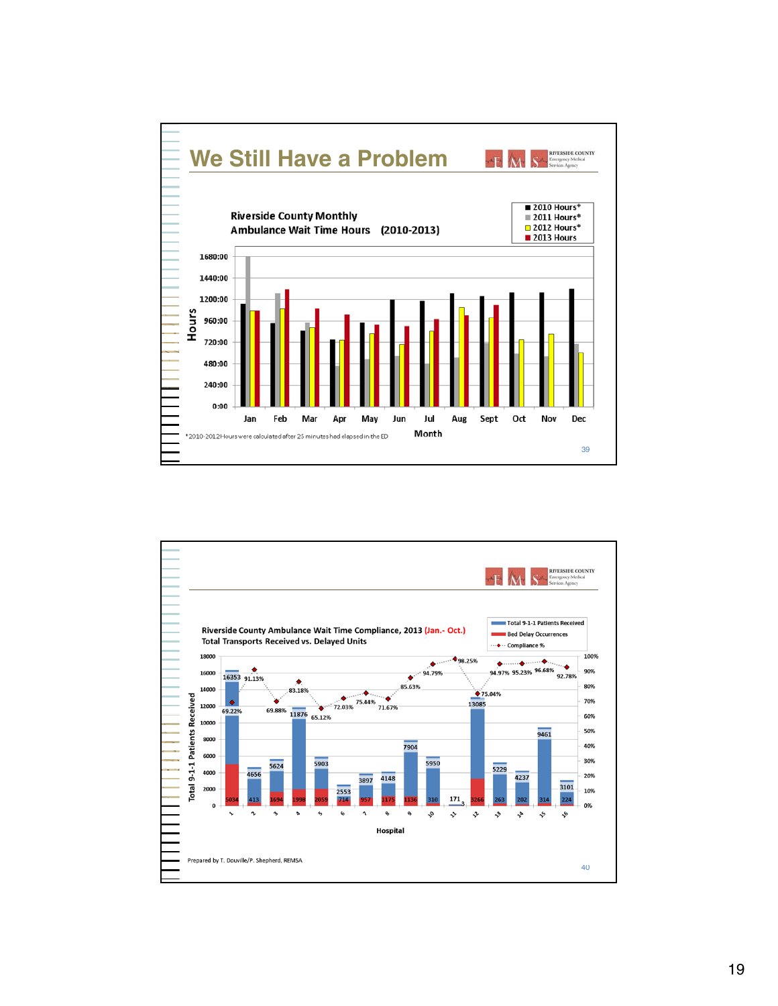

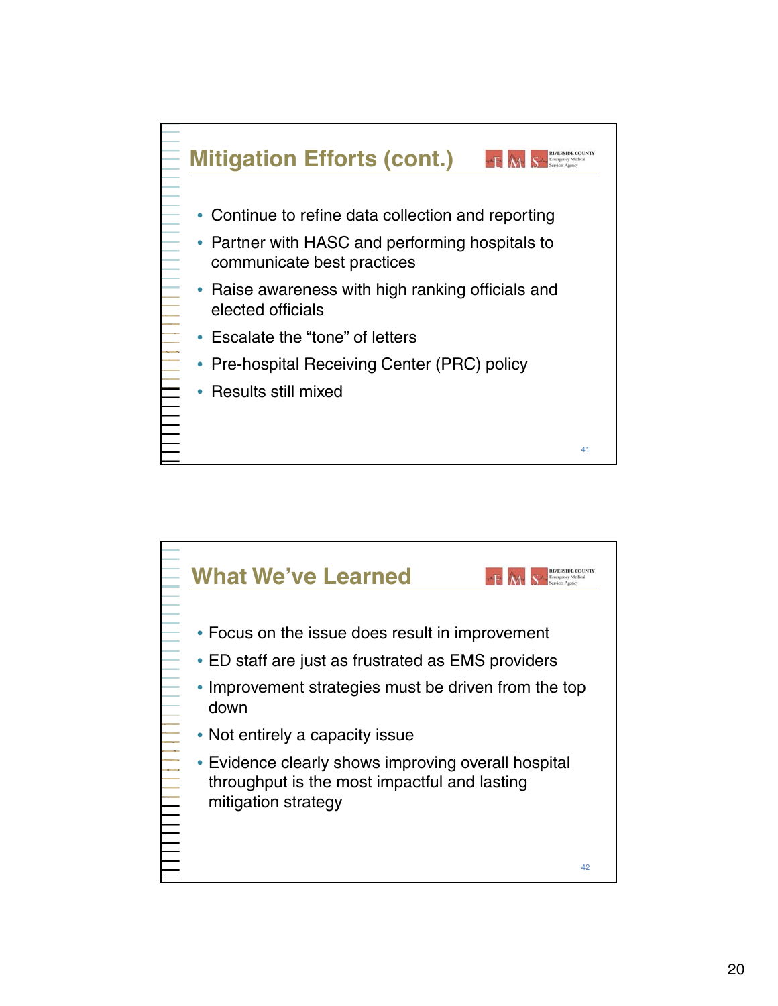

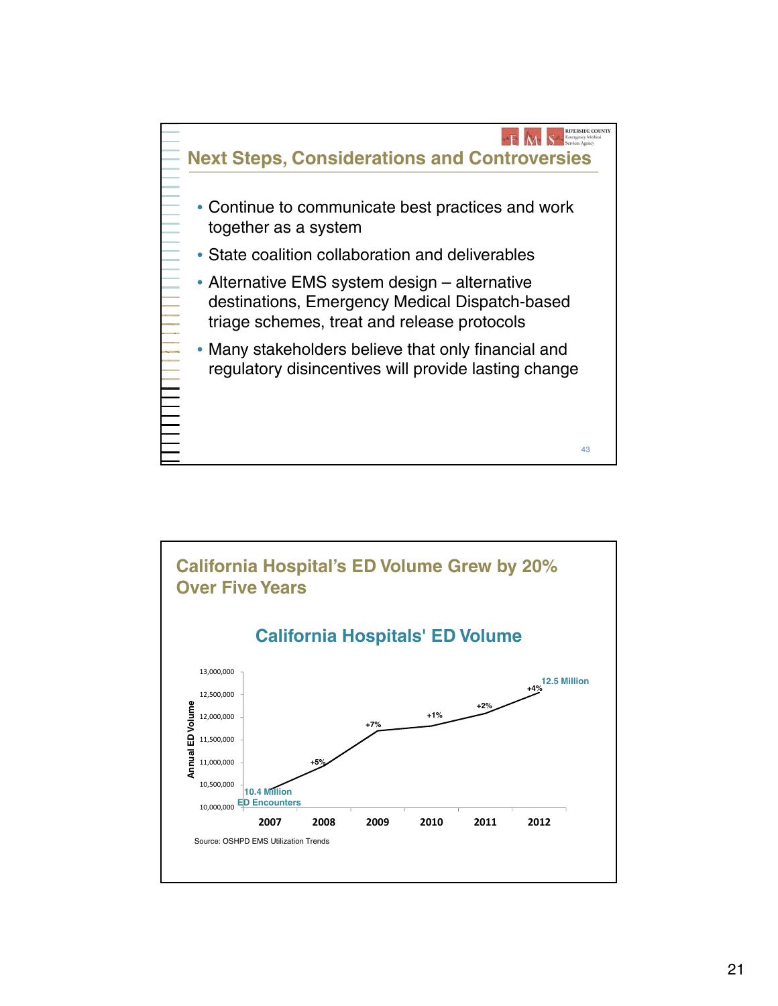

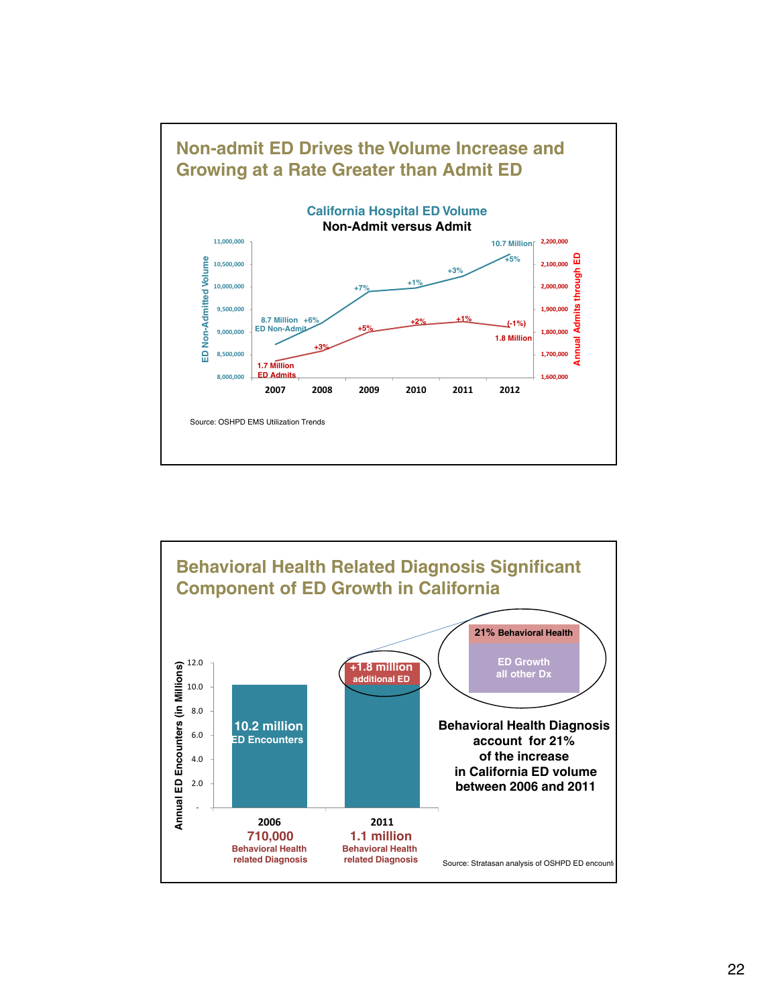

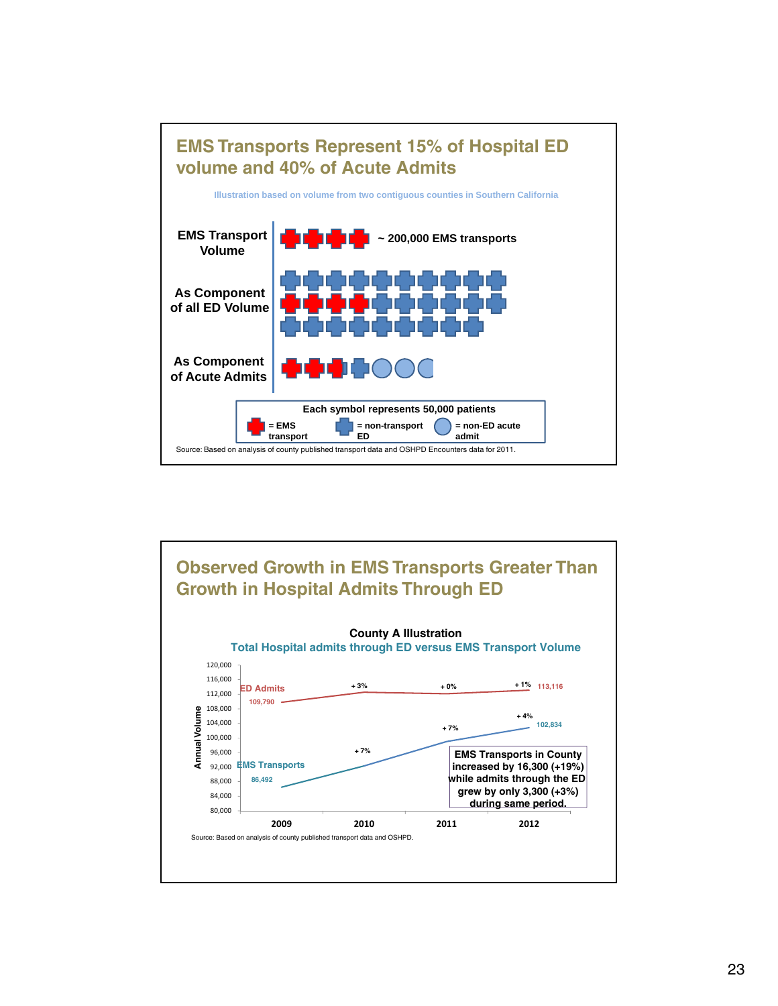

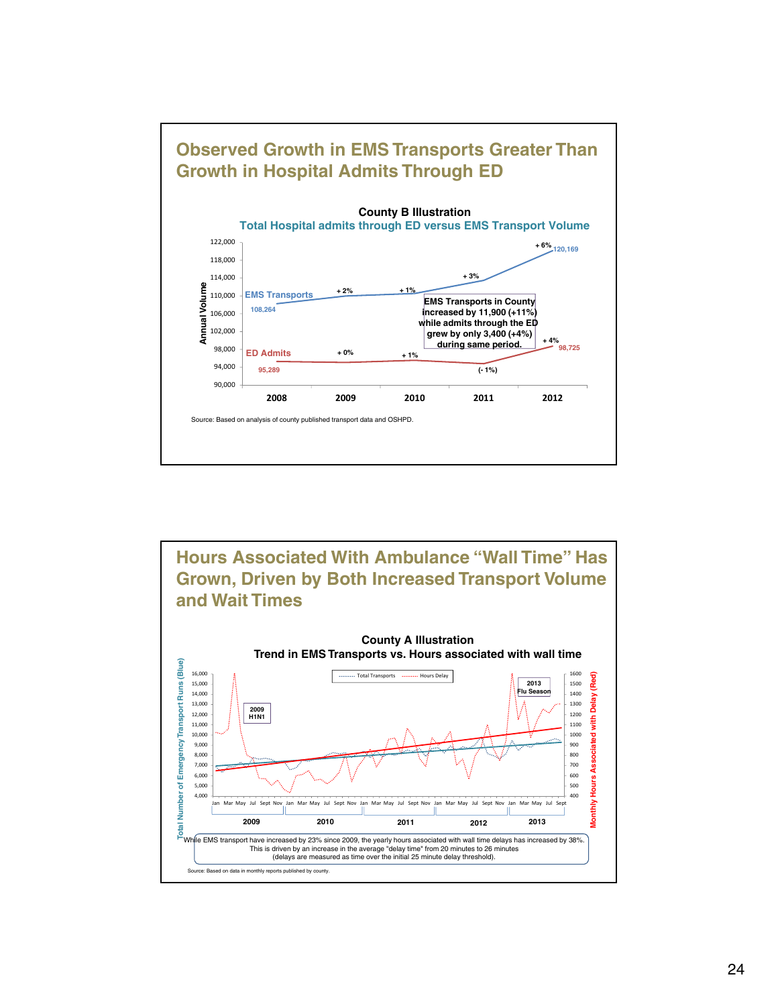

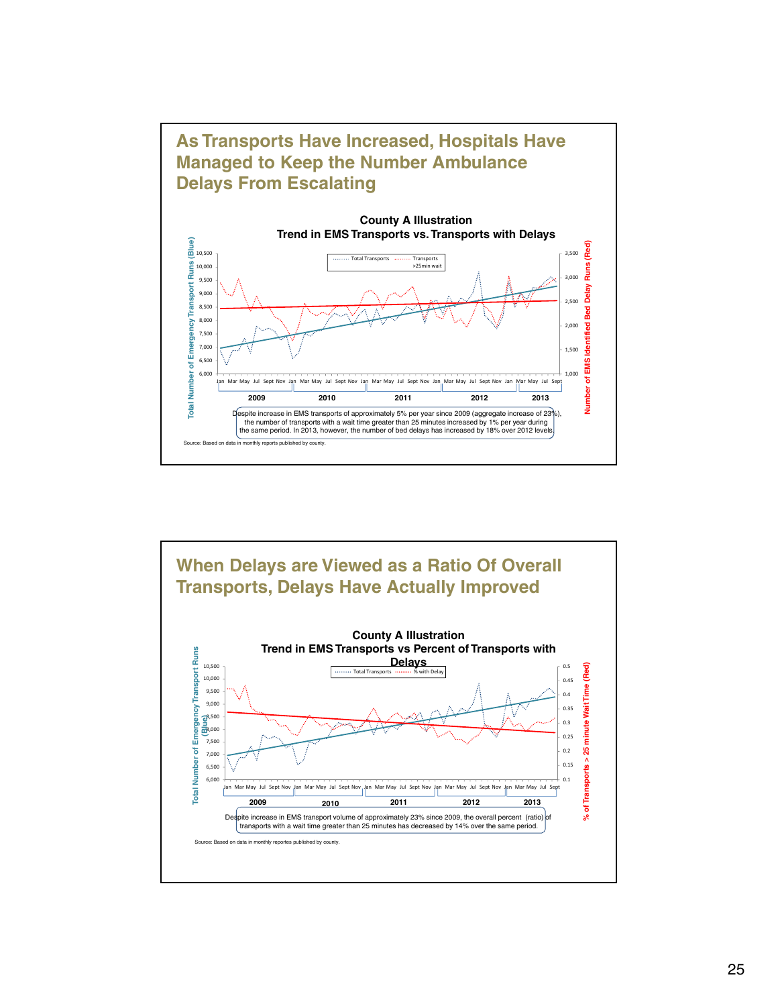



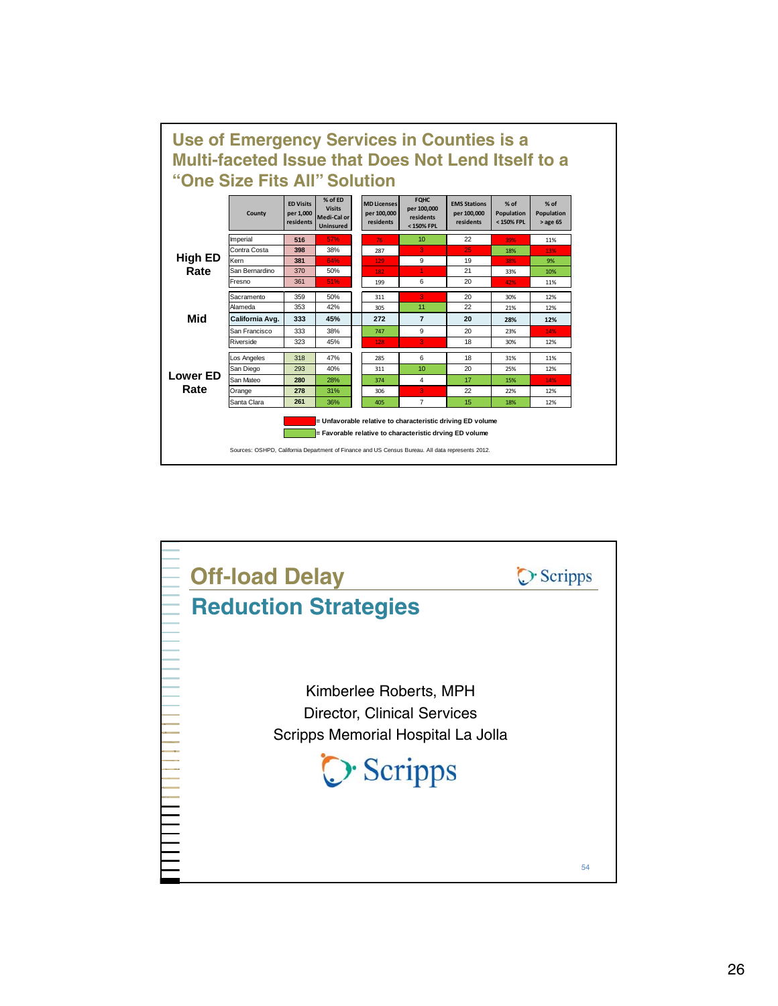

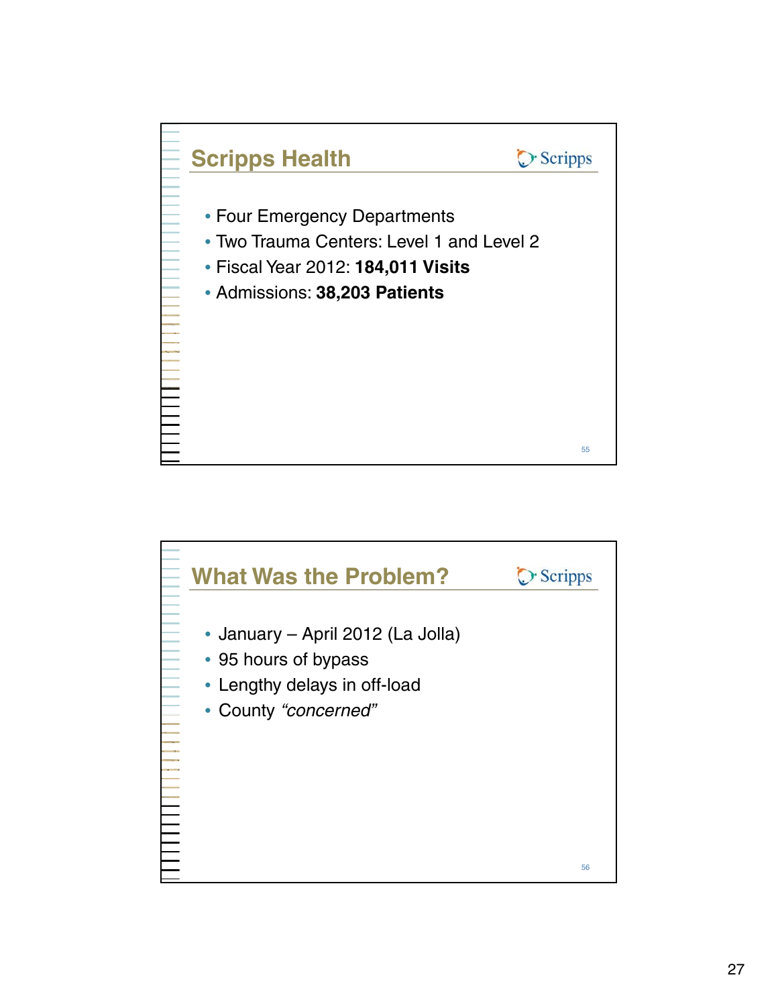

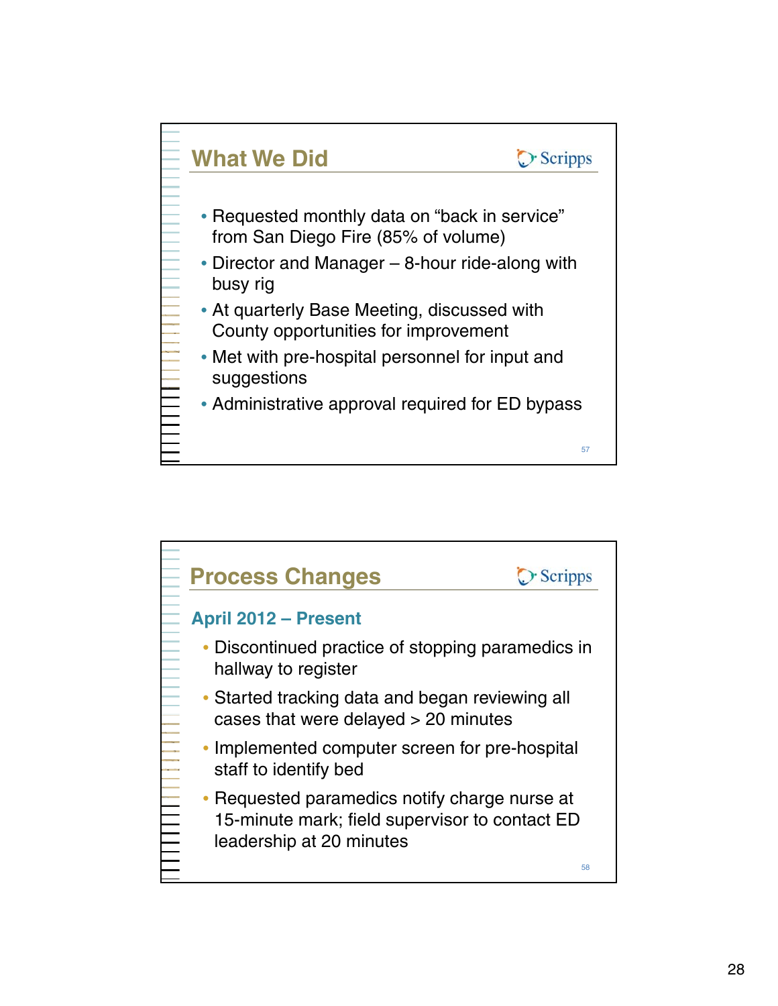

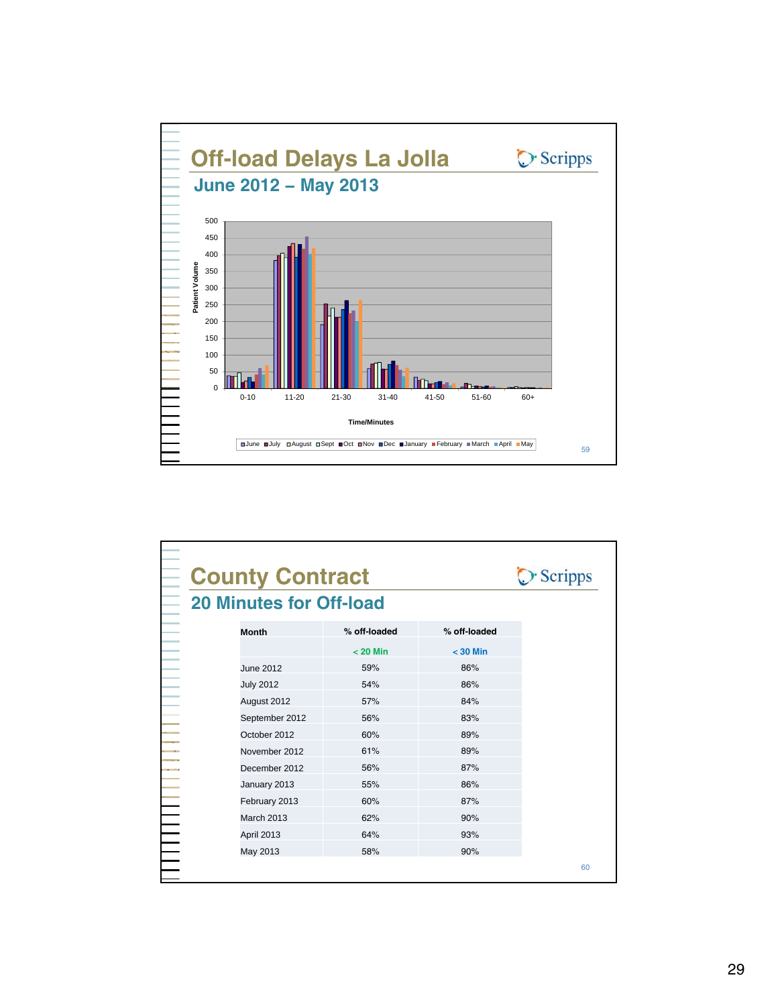

|                   | <b>County Contract</b><br><b>20 Minutes for Off-load</b> |              |    |
|-------------------|----------------------------------------------------------|--------------|----|
| <b>Month</b>      | % off-loaded                                             | % off-loaded |    |
|                   | $< 20$ Min                                               | $<$ 30 Min   |    |
| <b>June 2012</b>  | 59%                                                      | 86%          |    |
| <b>July 2012</b>  | 54%                                                      | 86%          |    |
| August 2012       | 57%                                                      | 84%          |    |
| September 2012    | 56%                                                      | 83%          |    |
| October 2012      | 60%                                                      | 89%          |    |
| November 2012     | 61%                                                      | 89%          |    |
| December 2012     | 56%                                                      | 87%          |    |
| January 2013      | 55%                                                      | 86%          |    |
| February 2013     | 60%                                                      | 87%          |    |
| <b>March 2013</b> | 62%                                                      | 90%          |    |
| April 2013        | 64%                                                      | 93%          |    |
| May 2013          | 58%                                                      | 90%          |    |
|                   |                                                          |              | 60 |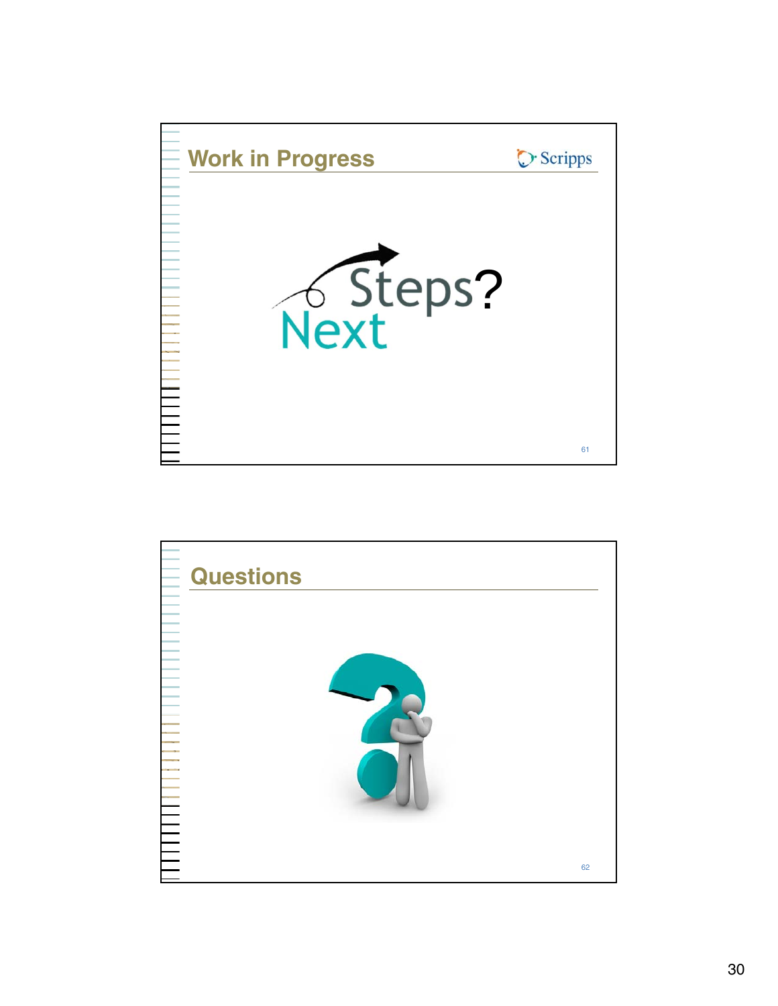